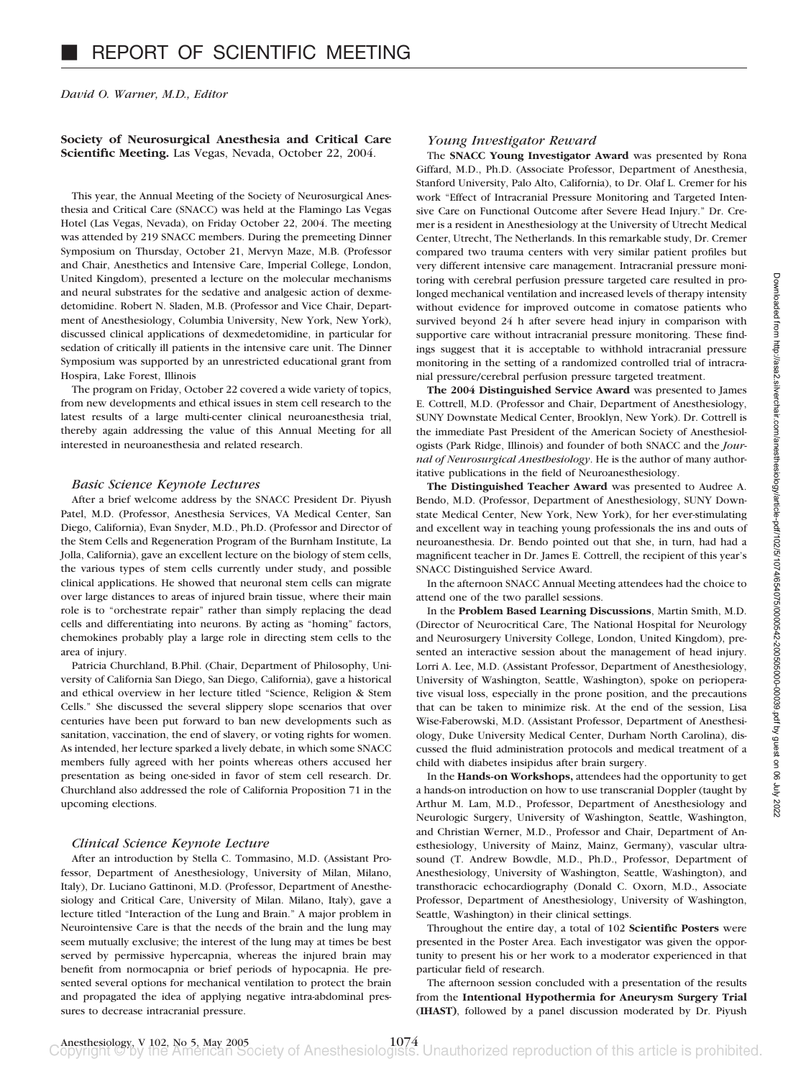*David O. Warner, M.D., Editor*

## **Society of Neurosurgical Anesthesia and Critical Care Scientific Meeting.** Las Vegas, Nevada, October 22, 2004.

This year, the Annual Meeting of the Society of Neurosurgical Anesthesia and Critical Care (SNACC) was held at the Flamingo Las Vegas Hotel (Las Vegas, Nevada), on Friday October 22, 2004. The meeting was attended by 219 SNACC members. During the premeeting Dinner Symposium on Thursday, October 21, Mervyn Maze, M.B. (Professor and Chair, Anesthetics and Intensive Care, Imperial College, London, United Kingdom), presented a lecture on the molecular mechanisms and neural substrates for the sedative and analgesic action of dexmedetomidine. Robert N. Sladen, M.B. (Professor and Vice Chair, Department of Anesthesiology, Columbia University, New York, New York), discussed clinical applications of dexmedetomidine, in particular for sedation of critically ill patients in the intensive care unit. The Dinner Symposium was supported by an unrestricted educational grant from Hospira, Lake Forest, Illinois

The program on Friday, October 22 covered a wide variety of topics, from new developments and ethical issues in stem cell research to the latest results of a large multi-center clinical neuroanesthesia trial, thereby again addressing the value of this Annual Meeting for all interested in neuroanesthesia and related research.

## *Basic Science Keynote Lectures*

After a brief welcome address by the SNACC President Dr. Piyush Patel, M.D. (Professor, Anesthesia Services, VA Medical Center, San Diego, California), Evan Snyder, M.D., Ph.D. (Professor and Director of the Stem Cells and Regeneration Program of the Burnham Institute, La Jolla, California), gave an excellent lecture on the biology of stem cells, the various types of stem cells currently under study, and possible clinical applications. He showed that neuronal stem cells can migrate over large distances to areas of injured brain tissue, where their main role is to "orchestrate repair" rather than simply replacing the dead cells and differentiating into neurons. By acting as "homing" factors, chemokines probably play a large role in directing stem cells to the area of injury.

Patricia Churchland, B.Phil. (Chair, Department of Philosophy, University of California San Diego, San Diego, California), gave a historical and ethical overview in her lecture titled "Science, Religion & Stem Cells." She discussed the several slippery slope scenarios that over centuries have been put forward to ban new developments such as sanitation, vaccination, the end of slavery, or voting rights for women. As intended, her lecture sparked a lively debate, in which some SNACC members fully agreed with her points whereas others accused her presentation as being one-sided in favor of stem cell research. Dr. Churchland also addressed the role of California Proposition 71 in the upcoming elections.

## *Clinical Science Keynote Lecture*

After an introduction by Stella C. Tommasino, M.D. (Assistant Professor, Department of Anesthesiology, University of Milan, Milano, Italy), Dr. Luciano Gattinoni, M.D. (Professor, Department of Anesthesiology and Critical Care, University of Milan. Milano, Italy), gave a lecture titled "Interaction of the Lung and Brain." A major problem in Neurointensive Care is that the needs of the brain and the lung may seem mutually exclusive; the interest of the lung may at times be best served by permissive hypercapnia, whereas the injured brain may benefit from normocapnia or brief periods of hypocapnia. He presented several options for mechanical ventilation to protect the brain and propagated the idea of applying negative intra-abdominal pressures to decrease intracranial pressure.

## *Young Investigator Reward*

The **SNACC Young Investigator Award** was presented by Rona Giffard, M.D., Ph.D. (Associate Professor, Department of Anesthesia, Stanford University, Palo Alto, California), to Dr. Olaf L. Cremer for his work "Effect of Intracranial Pressure Monitoring and Targeted Intensive Care on Functional Outcome after Severe Head Injury." Dr. Cremer is a resident in Anesthesiology at the University of Utrecht Medical Center, Utrecht, The Netherlands. In this remarkable study, Dr. Cremer compared two trauma centers with very similar patient profiles but very different intensive care management. Intracranial pressure monitoring with cerebral perfusion pressure targeted care resulted in prolonged mechanical ventilation and increased levels of therapy intensity without evidence for improved outcome in comatose patients who survived beyond 24 h after severe head injury in comparison with supportive care without intracranial pressure monitoring. These findings suggest that it is acceptable to withhold intracranial pressure monitoring in the setting of a randomized controlled trial of intracranial pressure/cerebral perfusion pressure targeted treatment.

**The 2004 Distinguished Service Award** was presented to James E. Cottrell, M.D. (Professor and Chair, Department of Anesthesiology, SUNY Downstate Medical Center, Brooklyn, New York). Dr. Cottrell is the immediate Past President of the American Society of Anesthesiologists (Park Ridge, Illinois) and founder of both SNACC and the *Journal of Neurosurgical Anesthesiology*. He is the author of many authoritative publications in the field of Neuroanesthesiology.

**The Distinguished Teacher Award** was presented to Audree A. Bendo, M.D. (Professor, Department of Anesthesiology, SUNY Downstate Medical Center, New York, New York), for her ever-stimulating and excellent way in teaching young professionals the ins and outs of neuroanesthesia. Dr. Bendo pointed out that she, in turn, had had a magnificent teacher in Dr. James E. Cottrell, the recipient of this year's SNACC Distinguished Service Award.

In the afternoon SNACC Annual Meeting attendees had the choice to attend one of the two parallel sessions.

In the **Problem Based Learning Discussions**, Martin Smith, M.D. (Director of Neurocritical Care, The National Hospital for Neurology and Neurosurgery University College, London, United Kingdom), presented an interactive session about the management of head injury. Lorri A. Lee, M.D. (Assistant Professor, Department of Anesthesiology, University of Washington, Seattle, Washington), spoke on perioperative visual loss, especially in the prone position, and the precautions that can be taken to minimize risk. At the end of the session, Lisa Wise-Faberowski, M.D. (Assistant Professor, Department of Anesthesiology, Duke University Medical Center, Durham North Carolina), discussed the fluid administration protocols and medical treatment of a child with diabetes insipidus after brain surgery.

In the **Hands-on Workshops,** attendees had the opportunity to get a hands-on introduction on how to use transcranial Doppler (taught by Arthur M. Lam, M.D., Professor, Department of Anesthesiology and Neurologic Surgery, University of Washington, Seattle, Washington, and Christian Werner, M.D., Professor and Chair, Department of Anesthesiology, University of Mainz, Mainz, Germany), vascular ultrasound (T. Andrew Bowdle, M.D., Ph.D., Professor, Department of Anesthesiology, University of Washington, Seattle, Washington), and transthoracic echocardiography (Donald C. Oxorn, M.D., Associate Professor, Department of Anesthesiology, University of Washington, Seattle, Washington) in their clinical settings.

Throughout the entire day, a total of 102 **Scientific Posters** were presented in the Poster Area. Each investigator was given the opportunity to present his or her work to a moderator experienced in that particular field of research.

The afternoon session concluded with a presentation of the results from the **Intentional Hypothermia for Aneurysm Surgery Trial** (**IHAST)**, followed by a panel discussion moderated by Dr. Piyush